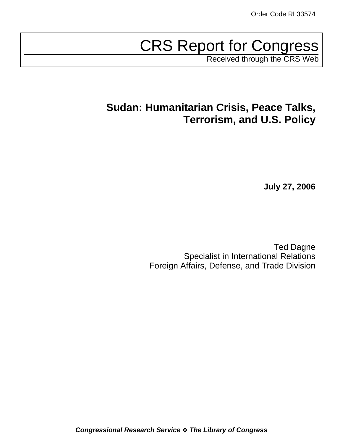# CRS Report for Congress

Received through the CRS Web

## **Sudan: Humanitarian Crisis, Peace Talks, Terrorism, and U.S. Policy**

**July 27, 2006**

Ted Dagne Specialist in International Relations Foreign Affairs, Defense, and Trade Division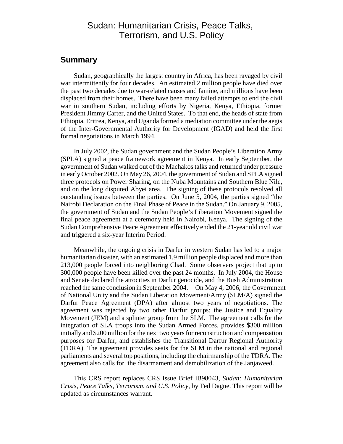## Sudan: Humanitarian Crisis, Peace Talks, Terrorism, and U.S. Policy

## **Summary**

Sudan, geographically the largest country in Africa, has been ravaged by civil war intermittently for four decades. An estimated 2 million people have died over the past two decades due to war-related causes and famine, and millions have been displaced from their homes. There have been many failed attempts to end the civil war in southern Sudan, including efforts by Nigeria, Kenya, Ethiopia, former President Jimmy Carter, and the United States. To that end, the heads of state from Ethiopia, Eritrea, Kenya, and Uganda formed a mediation committee under the aegis of the Inter-Governmental Authority for Development (IGAD) and held the first formal negotiations in March 1994.

In July 2002, the Sudan government and the Sudan People's Liberation Army (SPLA) signed a peace framework agreement in Kenya. In early September, the government of Sudan walked out of the Machakos talks and returned under pressure in early October 2002. On May 26, 2004, the government of Sudan and SPLA signed three protocols on Power Sharing, on the Nuba Mountains and Southern Blue Nile, and on the long disputed Abyei area. The signing of these protocols resolved all outstanding issues between the parties. On June 5, 2004, the parties signed "the Nairobi Declaration on the Final Phase of Peace in the Sudan." On January 9, 2005, the government of Sudan and the Sudan People's Liberation Movement signed the final peace agreement at a ceremony held in Nairobi, Kenya. The signing of the Sudan Comprehensive Peace Agreement effectively ended the 21-year old civil war and triggered a six-year Interim Period.

Meanwhile, the ongoing crisis in Darfur in western Sudan has led to a major humanitarian disaster, with an estimated 1.9 million people displaced and more than 213,000 people forced into neighboring Chad. Some observers project that up to 300,000 people have been killed over the past 24 months. In July 2004, the House and Senate declared the atrocities in Darfur genocide, and the Bush Administration reached the same conclusion in September 2004. On May 4, 2006, the Government of National Unity and the Sudan Liberation Movement/Army (SLM/A) signed the Darfur Peace Agreement (DPA) after almost two years of negotiations. The agreement was rejected by two other Darfur groups: the Justice and Equality Movement (JEM) and a splinter group from the SLM. The agreement calls for the integration of SLA troops into the Sudan Armed Forces, provides \$300 million initially and \$200 million for the next two years for reconstruction and compensation purposes for Darfur, and establishes the Transitional Darfur Regional Authority (TDRA). The agreement provides seats for the SLM in the national and regional parliaments and several top positions, including the chairmanship of the TDRA. The agreement also calls for the disarmament and demobilization of the Janjaweed.

This CRS report replaces CRS Issue Brief IB98043, *Sudan: Humanitarian Crisis, Peace Talks, Terrorism, and U.S. Policy*, by Ted Dagne. This report will be updated as circumstances warrant.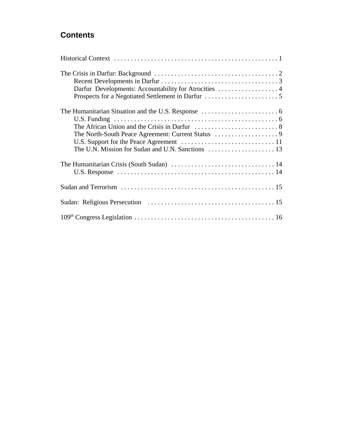## **Contents**

| Darfur Developments: Accountability for Atrocities  4 |
|-------------------------------------------------------|
|                                                       |
|                                                       |
|                                                       |
|                                                       |
|                                                       |
|                                                       |
|                                                       |
|                                                       |
|                                                       |
|                                                       |
|                                                       |
|                                                       |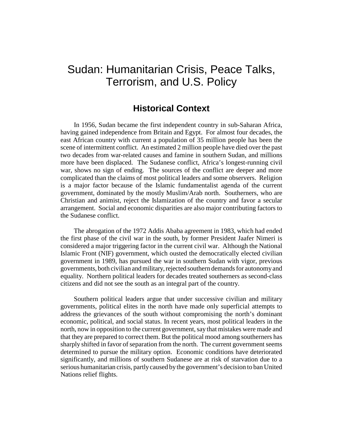## Sudan: Humanitarian Crisis, Peace Talks, Terrorism, and U.S. Policy

## **Historical Context**

In 1956, Sudan became the first independent country in sub-Saharan Africa, having gained independence from Britain and Egypt. For almost four decades, the east African country with current a population of 35 million people has been the scene of intermittent conflict. An estimated 2 million people have died over the past two decades from war-related causes and famine in southern Sudan, and millions more have been displaced. The Sudanese conflict, Africa's longest-running civil war, shows no sign of ending. The sources of the conflict are deeper and more complicated than the claims of most political leaders and some observers. Religion is a major factor because of the Islamic fundamentalist agenda of the current government, dominated by the mostly Muslim/Arab north. Southerners, who are Christian and animist, reject the Islamization of the country and favor a secular arrangement. Social and economic disparities are also major contributing factors to the Sudanese conflict.

The abrogation of the 1972 Addis Ababa agreement in 1983, which had ended the first phase of the civil war in the south, by former President Jaafer Nimeri is considered a major triggering factor in the current civil war. Although the National Islamic Front (NIF) government, which ousted the democratically elected civilian government in 1989, has pursued the war in southern Sudan with vigor, previous governments, both civilian and military, rejected southern demands for autonomy and equality. Northern political leaders for decades treated southerners as second-class citizens and did not see the south as an integral part of the country.

Southern political leaders argue that under successive civilian and military governments, political elites in the north have made only superficial attempts to address the grievances of the south without compromising the north's dominant economic, political, and social status. In recent years, most political leaders in the north, now in opposition to the current government, say that mistakes were made and that they are prepared to correct them. But the political mood among southerners has sharply shifted in favor of separation from the north. The current government seems determined to pursue the military option. Economic conditions have deteriorated significantly, and millions of southern Sudanese are at risk of starvation due to a serious humanitarian crisis, partly caused by the government's decision to ban United Nations relief flights.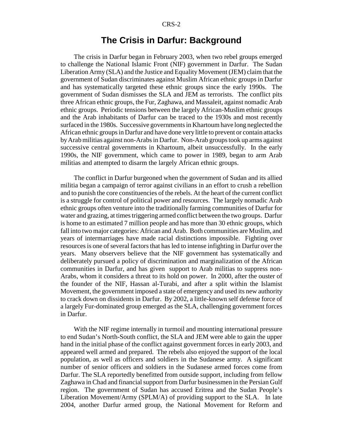## **The Crisis in Darfur: Background**

The crisis in Darfur began in February 2003, when two rebel groups emerged to challenge the National Islamic Front (NIF) government in Darfur. The Sudan Liberation Army (SLA) and the Justice and Equality Movement (JEM) claim that the government of Sudan discriminates against Muslim African ethnic groups in Darfur and has systematically targeted these ethnic groups since the early 1990s. The government of Sudan dismisses the SLA and JEM as terrorists. The conflict pits three African ethnic groups, the Fur, Zaghawa, and Massaleit, against nomadic Arab ethnic groups. Periodic tensions between the largely African-Muslim ethnic groups and the Arab inhabitants of Darfur can be traced to the 1930s and most recently surfaced in the 1980s. Successive governments in Khartoum have long neglected the African ethnic groups in Darfur and have done very little to prevent or contain attacks by Arab militias against non-Arabs in Darfur. Non-Arab groups took up arms against successive central governments in Khartoum, albeit unsuccessfully. In the early 1990s, the NIF government, which came to power in 1989, began to arm Arab militias and attempted to disarm the largely African ethnic groups.

The conflict in Darfur burgeoned when the government of Sudan and its allied militia began a campaign of terror against civilians in an effort to crush a rebellion and to punish the core constituencies of the rebels. At the heart of the current conflict is a struggle for control of political power and resources. The largely nomadic Arab ethnic groups often venture into the traditionally farming communities of Darfur for water and grazing, at times triggering armed conflict between the two groups. Darfur is home to an estimated 7 million people and has more than 30 ethnic groups, which fall into two major categories: African and Arab. Both communities are Muslim, and years of intermarriages have made racial distinctions impossible. Fighting over resources is one of several factors that has led to intense infighting in Darfur over the years. Many observers believe that the NIF government has systematically and deliberately pursued a policy of discrimination and marginalization of the African communities in Darfur, and has given support to Arab militias to suppress non-Arabs, whom it considers a threat to its hold on power. In 2000, after the ouster of the founder of the NIF, Hassan al-Turabi, and after a split within the Islamist Movement, the government imposed a state of emergency and used its new authority to crack down on dissidents in Darfur. By 2002, a little-known self defense force of a largely Fur-dominated group emerged as the SLA, challenging government forces in Darfur.

With the NIF regime internally in turmoil and mounting international pressure to end Sudan's North-South conflict, the SLA and JEM were able to gain the upper hand in the initial phase of the conflict against government forces in early 2003, and appeared well armed and prepared. The rebels also enjoyed the support of the local population, as well as officers and soldiers in the Sudanese army. A significant number of senior officers and soldiers in the Sudanese armed forces come from Darfur. The SLA reportedly benefitted from outside support, including from fellow Zaghawa in Chad and financial support from Darfur businessmen in the Persian Gulf region. The government of Sudan has accused Eritrea and the Sudan People's Liberation Movement/Army (SPLM/A) of providing support to the SLA. In late 2004, another Darfur armed group, the National Movement for Reform and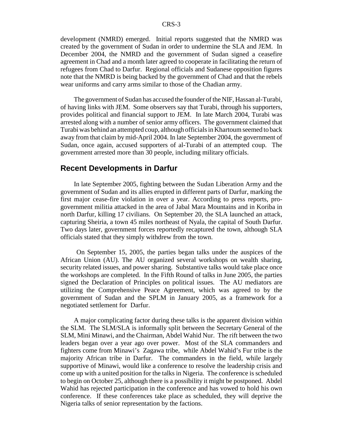development (NMRD) emerged. Initial reports suggested that the NMRD was created by the government of Sudan in order to undermine the SLA and JEM. In December 2004, the NMRD and the government of Sudan signed a ceasefire agreement in Chad and a month later agreed to cooperate in facilitating the return of refugees from Chad to Darfur. Regional officials and Sudanese opposition figures note that the NMRD is being backed by the government of Chad and that the rebels wear uniforms and carry arms similar to those of the Chadian army.

The government of Sudan has accused the founder of the NIF, Hassan al-Turabi, of having links with JEM. Some observers say that Turabi, through his supporters, provides political and financial support to JEM. In late March 2004, Turabi was arrested along with a number of senior army officers. The government claimed that Turabi was behind an attempted coup, although officials in Khartoum seemed to back away from that claim by mid-April 2004. In late September 2004, the government of Sudan, once again, accused supporters of al-Turabi of an attempted coup. The government arrested more than 30 people, including military officials.

### **Recent Developments in Darfur**

In late September 2005, fighting between the Sudan Liberation Army and the government of Sudan and its allies erupted in different parts of Darfur, marking the first major cease-fire violation in over a year. According to press reports, progovernment militia attacked in the area of Jabal Mara Mountains and in Koriba in north Darfur, killing 17 civilians. On September 20, the SLA launched an attack, capturing Sheiria, a town 45 miles northeast of Nyala, the capital of South Darfur. Two days later, government forces reportedly recaptured the town, although SLA officials stated that they simply withdrew from the town.

 On September 15, 2005, the parties began talks under the auspices of the African Union (AU). The AU organized several workshops on wealth sharing, security related issues, and power sharing. Substantive talks would take place once the workshops are completed. In the Fifth Round of talks in June 2005, the parties signed the Declaration of Principles on political issues. The AU mediators are utilizing the Comprehensive Peace Agreement, which was agreed to by the government of Sudan and the SPLM in January 2005, as a framework for a negotiated settlement for Darfur.

A major complicating factor during these talks is the apparent division within the SLM. The SLM/SLA is informally split between the Secretary General of the SLM, Mini Minawi, and the Chairman, Abdel Wahid Nur. The rift between the two leaders began over a year ago over power. Most of the SLA commanders and fighters come from Minawi's Zagawa tribe, while Abdel Wahid's Fur tribe is the majority African tribe in Darfur. The commanders in the field, while largely supportive of Minawi, would like a conference to resolve the leadership crisis and come up with a united position for the talks in Nigeria. The conference is scheduled to begin on October 25, although there is a possibility it might be postponed. Abdel Wahid has rejected participation in the conference and has vowed to hold his own conference. If these conferences take place as scheduled, they will deprive the Nigeria talks of senior representation by the factions.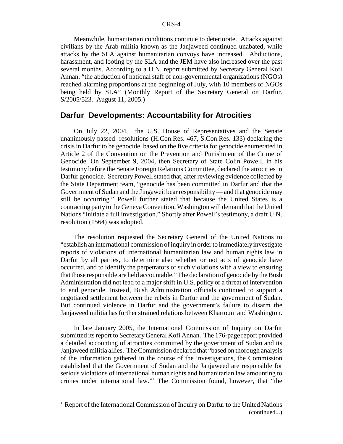Meanwhile, humanitarian conditions continue to deteriorate. Attacks against civilians by the Arab militia known as the Janjaweed continued unabated, while attacks by the SLA against humanitarian convoys have increased. Abductions, harassment, and looting by the SLA and the JEM have also increased over the past several months. According to a U.N. report submitted by Secretary General Kofi Annan, "the abduction of national staff of non-governmental organizations (NGOs) reached alarming proportions at the beginning of July, with 10 members of NGOs being held by SLA" (Monthly Report of the Secretary General on Darfur. S/2005/523. August 11, 2005.)

### **Darfur Developments: Accountability for Atrocities**

On July 22, 2004, the U.S. House of Representatives and the Senate unanimously passed resolutions (H.Con.Res. 467, S.Con.Res. 133) declaring the crisis in Darfur to be genocide, based on the five criteria for genocide enumerated in Article 2 of the Convention on the Prevention and Punishment of the Crime of Genocide. On September 9, 2004, then Secretary of State Colin Powell, in his testimony before the Senate Foreign Relations Committee, declared the atrocities in Darfur genocide. Secretary Powell stated that, after reviewing evidence collected by the State Department team, "genocide has been committed in Darfur and that the Government of Sudan and the Jingaweit bear responsibility — and that genocide may still be occurring." Powell further stated that because the United States is a contracting party to the Geneva Convention, Washington will demand that the United Nations "initiate a full investigation." Shortly after Powell's testimony, a draft U.N. resolution (1564) was adopted.

The resolution requested the Secretary General of the United Nations to "establish an international commission of inquiry in order to immediately investigate reports of violations of international humanitarian law and human rights law in Darfur by all parties, to determine also whether or not acts of genocide have occurred, and to identify the perpetrators of such violations with a view to ensuring that those responsible are held accountable." The declaration of genocide by the Bush Administration did not lead to a major shift in U.S. policy or a threat of intervention to end genocide. Instead, Bush Administration officials continued to support a negotiated settlement between the rebels in Darfur and the government of Sudan. But continued violence in Darfur and the government's failure to disarm the Janjaweed militia has further strained relations between Khartoum and Washington.

In late January 2005, the International Commission of Inquiry on Darfur submitted its report to Secretary General Kofi Annan. The 176-page report provided a detailed accounting of atrocities committed by the government of Sudan and its Janjaweed militia allies. The Commission declared that "based on thorough analysis of the information gathered in the course of the investigations, the Commission established that the Government of Sudan and the Janjaweed are responsible for serious violations of international human rights and humanitarian law amounting to crimes under international law."1 The Commission found, however, that "the

<sup>&</sup>lt;sup>1</sup> Report of the International Commission of Inquiry on Darfur to the United Nations (continued...)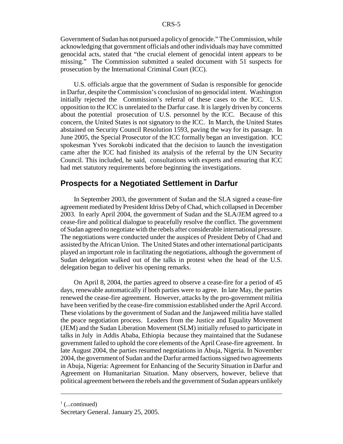Government of Sudan has not pursued a policy of genocide." The Commission, while acknowledging that government officials and other individuals may have committed genocidal acts, stated that "the crucial element of genocidal intent appears to be missing." The Commission submitted a sealed document with 51 suspects for prosecution by the International Criminal Court (ICC).

U.S. officials argue that the government of Sudan is responsible for genocide in Darfur, despite the Commission's conclusion of no genocidal intent. Washington initially rejected the Commission's referral of these cases to the ICC. U.S. opposition to the ICC is unrelated to the Darfur case. It is largely driven by concerns about the potential prosecution of U.S. personnel by the ICC. Because of this concern, the United States is not signatory to the ICC. In March, the United States abstained on Security Council Resolution 1593, paving the way for its passage. In June 2005, the Special Prosecutor of the ICC formally began an investigation. ICC spokesman Yves Sorokobi indicated that the decision to launch the investigation came after the ICC had finished its analysis of the referral by the UN Security Council. This included, he said, consultations with experts and ensuring that ICC had met statutory requirements before beginning the investigations.

## **Prospects for a Negotiated Settlement in Darfur**

In September 2003, the government of Sudan and the SLA signed a cease-fire agreement mediated by President Idriss Deby of Chad, which collapsed in December 2003. In early April 2004, the government of Sudan and the SLA/JEM agreed to a cease-fire and political dialogue to peacefully resolve the conflict. The government of Sudan agreed to negotiate with the rebels after considerable international pressure. The negotiations were conducted under the auspices of President Deby of Chad and assisted by the African Union. The United States and other international participants played an important role in facilitating the negotiations, although the government of Sudan delegation walked out of the talks in protest when the head of the U.S. delegation began to deliver his opening remarks.

On April 8, 2004, the parties agreed to observe a cease-fire for a period of 45 days, renewable automatically if both parties were to agree. In late May, the parties renewed the cease-fire agreement. However, attacks by the pro-government militia have been verified by the cease-fire commission established under the April Accord. These violations by the government of Sudan and the Janjaweed militia have stalled the peace negotiation process. Leaders from the Justice and Equality Movement (JEM) and the Sudan Liberation Movement (SLM) initially refused to participate in talks in July in Addis Ababa, Ethiopia because they maintained that the Sudanese government failed to uphold the core elements of the April Cease-fire agreement. In late August 2004, the parties resumed negotiations in Abuja, Nigeria. In November 2004, the government of Sudan and the Darfur armed factions signed two agreements in Abuja, Nigeria: Agreement for Enhancing of the Security Situation in Darfur and Agreement on Humanitarian Situation. Many observers, however, believe that political agreement between the rebels and the government of Sudan appears unlikely

 $\frac{1}{1}$  (...continued)

Secretary General. January 25, 2005.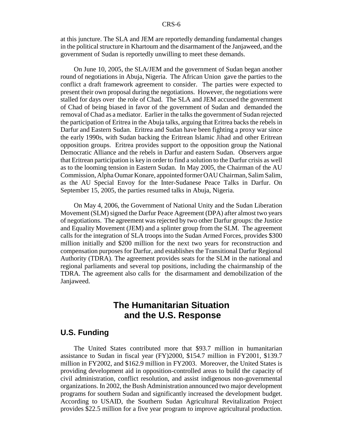at this juncture. The SLA and JEM are reportedly demanding fundamental changes in the political structure in Khartoum and the disarmament of the Janjaweed, and the government of Sudan is reportedly unwilling to meet these demands.

On June 10, 2005, the SLA/JEM and the government of Sudan began another round of negotiations in Abuja, Nigeria. The African Union gave the parties to the conflict a draft framework agreement to consider. The parties were expected to present their own proposal during the negotiations. However, the negotiations were stalled for days over the role of Chad. The SLA and JEM accused the government of Chad of being biased in favor of the government of Sudan and demanded the removal of Chad as a mediator. Earlier in the talks the government of Sudan rejected the participation of Eritrea in the Abuja talks, arguing that Eritrea backs the rebels in Darfur and Eastern Sudan. Eritrea and Sudan have been fighting a proxy war since the early 1990s, with Sudan backing the Eritrean Islamic Jihad and other Eritrean opposition groups. Eritrea provides support to the opposition group the National Democratic Alliance and the rebels in Darfur and eastern Sudan. Observers argue that Eritrean participation is key in order to find a solution to the Darfur crisis as well as to the looming tension in Eastern Sudan. In May 2005, the Chairman of the AU Commission, Alpha Oumar Konare, appointed former OAU Chairman, Salim Salim, as the AU Special Envoy for the Inter-Sudanese Peace Talks in Darfur. On September 15, 2005, the parties resumed talks in Abuja, Nigeria.

On May 4, 2006, the Government of National Unity and the Sudan Liberation Movement (SLM) signed the Darfur Peace Agreement (DPA) after almost two years of negotiations. The agreement was rejected by two other Darfur groups: the Justice and Equality Movement (JEM) and a splinter group from the SLM. The agreement calls for the integration of SLA troops into the Sudan Armed Forces, provides \$300 million initially and \$200 million for the next two years for reconstruction and compensation purposes for Darfur, and establishes the Transitional Darfur Regional Authority (TDRA). The agreement provides seats for the SLM in the national and regional parliaments and several top positions, including the chairmanship of the TDRA. The agreement also calls for the disarmament and demobilization of the Janjaweed.

## **The Humanitarian Situation and the U.S. Response**

#### **U.S. Funding**

The United States contributed more that \$93.7 million in humanitarian assistance to Sudan in fiscal year (FY)2000, \$154.7 million in FY2001, \$139.7 million in FY2002, and \$162.9 million in FY2003. Moreover, the United States is providing development aid in opposition-controlled areas to build the capacity of civil administration, conflict resolution, and assist indigenous non-governmental organizations. In 2002, the Bush Administration announced two major development programs for southern Sudan and significantly increased the development budget. According to USAID, the Southern Sudan Agricultural Revitalization Project provides \$22.5 million for a five year program to improve agricultural production.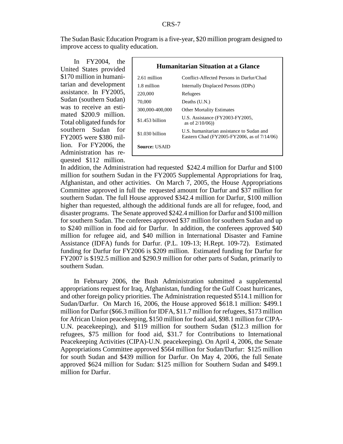The Sudan Basic Education Program is a five-year, \$20 million program designed to improve access to quality education.

In FY2004, the United States provided \$170 million in humanitarian and development assistance. In FY2005, Sudan (southern Sudan) was to receive an estimated \$200.9 million. Total obligated funds for southern Sudan for FY2005 were \$380 million. For FY2006, the Administration has requested \$112 million.

| Humanitarian Situation at a Glance |                                                                                          |  |
|------------------------------------|------------------------------------------------------------------------------------------|--|
| 2.61 million                       | Conflict-Affected Persons in Darfur/Chad                                                 |  |
| 1.8 million                        | Internally Displaced Persons (IDPs)                                                      |  |
| 220,000                            | Refugees                                                                                 |  |
| 70,000                             | Deaths $(U.N.)$                                                                          |  |
| 300,000-400,000                    | <b>Other Mortality Estimates</b>                                                         |  |
| $$1.453$ billion                   | U.S. Assistance (FY2003-FY2005,<br>as of $2/10/06$ )                                     |  |
| $$1.030$ billion                   | U.S. humanitarian assistance to Sudan and<br>Eastern Chad (FY2005-FY2006, as of 7/14/06) |  |
| <b>Source: USAID</b>               |                                                                                          |  |

In addition, the Administration had requested \$242.4 million for Darfur and \$100 million for southern Sudan in the FY2005 Supplemental Appropriations for Iraq, Afghanistan, and other activities. On March 7, 2005, the House Appropriations Committee approved in full the requested amount for Darfur and \$37 million for southern Sudan. The full House approved \$342.4 million for Darfur, \$100 million higher than requested, although the additional funds are all for refugee, food, and disaster programs. The Senate approved \$242.4 million for Darfur and \$100 million for southern Sudan. The conferees approved \$37 million for southern Sudan and up to \$240 million in food aid for Darfur. In addition, the conferees approved \$40 million for refugee aid, and \$40 million in International Disaster and Famine Assistance (IDFA) funds for Darfur. (P.L. 109-13; H.Rept. 109-72). Estimated funding for Darfur for FY2006 is \$209 million. Estimated funding for Darfur for FY2007 is \$192.5 million and \$290.9 million for other parts of Sudan, primarily to southern Sudan.

In February 2006, the Bush Administration submitted a supplemental appropriations request for Iraq, Afghanistan, funding for the Gulf Coast hurricanes, and other foreign policy priorities. The Administration requested \$514.1 million for Sudan/Darfur. On March 16, 2006, the House approved \$618.1 million: \$499.1 million for Darfur (\$66.3 million for IDFA, \$11.7 million for refugees, \$173 million for African Union peacekeeping, \$150 million for food aid, \$98.1 million for CIPA-U.N. peacekeeping), and \$119 million for southern Sudan (\$12.3 million for refugees, \$75 million for food aid, \$31.7 for Contributions to International Peacekeeping Activities (CIPA)-U.N. peacekeeping). On April 4, 2006, the Senate Appropriations Committee approved \$564 million for Sudan/Darfur: \$125 million for south Sudan and \$439 million for Darfur. On May 4, 2006, the full Senate approved \$624 million for Sudan: \$125 million for Southern Sudan and \$499.1 million for Darfur.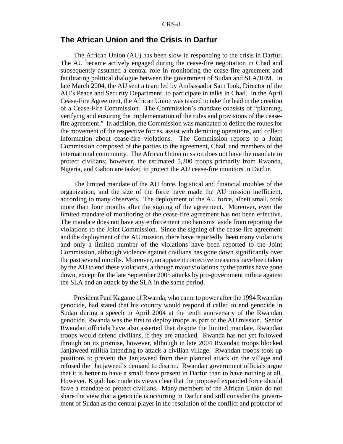## **The African Union and the Crisis in Darfur**

The African Union (AU) has been slow in responding to the crisis in Darfur. The AU became actively engaged during the cease-fire negotiation in Chad and subsequently assumed a central role in monitoring the cease-fire agreement and facilitating political dialogue between the government of Sudan and SLA/JEM. In late March 2004, the AU sent a team led by Ambassador Sam Ibok, Director of the AU's Peace and Security Department, to participate in talks in Chad. In the April Cease-Fire Agreement, the African Union was tasked to take the lead in the creation of a Cease-Fire Commission. The Commission's mandate consists of "planning, verifying and ensuring the implementation of the rules and provisions of the ceasefire agreement." In addition, the Commission was mandated to define the routes for the movement of the respective forces, assist with demining operations, and collect information about cease-fire violations. The Commission reports to a Joint Commission composed of the parties to the agreement, Chad, and members of the international community. The African Union mission does not have the mandate to protect civilians; however, the estimated 5,200 troops primarily from Rwanda, Nigeria, and Gabon are tasked to protect the AU cease-fire monitors in Darfur.

The limited mandate of the AU force, logistical and financial troubles of the organization, and the size of the force have made the AU mission inefficient, according to many observers. The deployment of the AU force, albeit small, took more than four months after the signing of the agreement. Moreover, even the limited mandate of monitoring of the cease-fire agreement has not been effective. The mandate does not have any enforcement mechanisms aside from reporting the violations to the Joint Commission. Since the signing of the cease-fire agreement and the deployment of the AU mission, there have reportedly been many violations and only a limited number of the violations have been reported to the Joint Commission, although violence against civilians has gone down significantly over the past several months. Moreover, no apparent corrective measures have been taken by the AU to end these violations, although major violations by the parties have gone down, except for the late September 2005 attacks by pro-government militia against the SLA and an attack by the SLA in the same period.

President Paul Kagame of Rwanda, who came to power after the 1994 Rwandan genocide, had stated that his country would respond if called to end genocide in Sudan during a speech in April 2004 at the tenth anniversary of the Rwandan genocide. Rwanda was the first to deploy troops as part of the AU mission. Senior Rwandan officials have also asserted that despite the limited mandate, Rwandan troops would defend civilians, if they are attacked. Rwanda has not yet followed through on its promise, however, although in late 2004 Rwandan troops blocked Janjaweed militia intending to attack a civilian village. Rwandan troops took up positions to prevent the Janjaweed from their planned attack on the village and refused the Janjaweed's demand to disarm. Rwandan government officials argue that it is better to have a small force present in Darfur than to have nothing at all. However, Kigali has made its views clear that the proposed expanded force should have a mandate to protect civilians. Many members of the African Union do not share the view that a genocide is occurring in Darfur and still consider the government of Sudan as the central player in the resolution of the conflict and protector of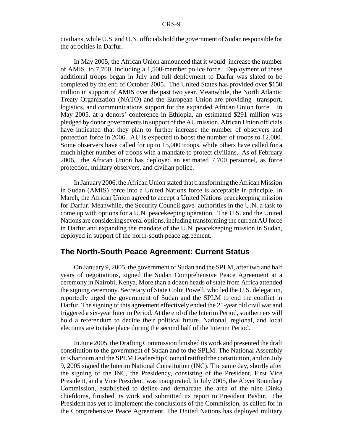civilians, while U.S. and U.N. officials hold the government of Sudan responsible for the atrocities in Darfur.

In May 2005, the African Union announced that it would increase the number of AMIS to 7,700, including a 1,500-member police force. Deployment of these additional troops began in July and full deployment to Darfur was slated to be completed by the end of October 2005. The United States has provided over \$150 million in support of AMIS over the past two year. Meanwhile, the North Atlantic Treaty Organization (NATO) and the European Union are providing transport, logistics, and communications support for the expanded African Union force. In May 2005, at a donors' conference in Ethiopia, an estimated \$291 million was pledged by donor governments in support of the AU mission. African Union officials have indicated that they plan to further increase the number of observers and protection force in 2006. AU is expected to boost the number of troops to 12,000. Some observers have called for up to 15,000 troops, while others have called for a much higher number of troops with a mandate to protect civilians. As of February 2006, the African Union has deployed an estimated 7,700 personnel, as force protection, military observers, and civilian police.

In January 2006, the African Union stated that transforming the African Mission in Sudan (AMIS) force into a United Nations force is acceptable in principle. In March, the African Union agreed to accept a United Nations peacekeeping mission for Darfur. Meanwhile, the Security Council gave authorities in the U.N. a task to come up with options for a U.N. peacekeeping operation. The U.S. and the United Nations are considering several options, including transforming the current AU force in Darfur and expanding the mandate of the U.N. peacekeeping mission in Sudan, deployed in support of the north-south peace agreement.

#### **The North-South Peace Agreement: Current Status**

On January 9, 2005, the government of Sudan and the SPLM, after two and half years of negotiations, signed the Sudan Comprehensive Peace Agreement at a ceremony in Nairobi, Kenya. More than a dozen heads of state from Africa attended the signing ceremony. Secretary of State Colin Powell, who led the U.S. delegation, reportedly urged the government of Sudan and the SPLM to end the conflict in Darfur. The signing of this agreement effectively ended the 21-year old civil war and triggered a six-year Interim Period. At the end of the Interim Period, southerners will hold a referendum to decide their political future. National, regional, and local elections are to take place during the second half of the Interim Period.

In June 2005, the Drafting Commission finished its work and presented the draft constitution to the government of Sudan and to the SPLM. The National Assembly in Khartoum and the SPLM Leadership Council ratified the constitution, and on July 9, 2005 signed the Interim National Constitution (INC). The same day, shortly after the signing of the INC, the Presidency, consisting of the President, First Vice President, and a Vice President, was inaugurated. In July 2005, the Abyei Boundary Commission, established to define and demarcate the area of the nine Dinka chiefdoms, finished its work and submitted its report to President Bashir. The President has yet to implement the conclusions of the Commission, as called for in the Comprehensive Peace Agreement. The United Nations has deployed military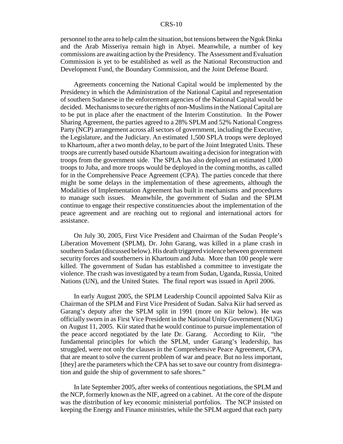personnel to the area to help calm the situation, but tensions between the Ngok Dinka and the Arab Misseriya remain high in Abyei. Meanwhile, a number of key commissions are awaiting action by the Presidency. The Assessment and Evaluation Commission is yet to be established as well as the National Reconstruction and Development Fund, the Boundary Commission, and the Joint Defense Board.

Agreements concerning the National Capital would be implemented by the Presidency in which the Administration of the National Capital and representation of southern Sudanese in the enforcement agencies of the National Capital would be decided. Mechanisms to secure the rights of non-Muslims in the National Capital are to be put in place after the enactment of the Interim Constitution. In the Power Sharing Agreement, the parties agreed to a 28% SPLM and 52% National Congress Party (NCP) arrangement across all sectors of government, including the Executive, the Legislature, and the Judiciary. An estimated 1,500 SPLA troops were deployed to Khartoum, after a two month delay, to be part of the Joint Integrated Units. These troops are currently based outside Khartoum awaiting a decision for integration with troops from the government side. The SPLA has also deployed an estimated 1,000 troops to Juba, and more troops would be deployed in the coming months, as called for in the Comprehensive Peace Agreement (CPA). The parties concede that there might be some delays in the implementation of these agreements, although the Modalities of Implementation Agreement has built in mechanisms and procedures to manage such issues. Meanwhile, the government of Sudan and the SPLM continue to engage their respective constituencies about the implementation of the peace agreement and are reaching out to regional and international actors for assistance.

On July 30, 2005, First Vice President and Chairman of the Sudan People's Liberation Movement (SPLM), Dr. John Garang, was killed in a plane crash in southern Sudan (discussed below). His death triggered violence between government security forces and southerners in Khartoum and Juba. More than 100 people were killed. The government of Sudan has established a committee to investigate the violence. The crash was investigated by a team from Sudan, Uganda, Russia, United Nations (UN), and the United States. The final report was issued in April 2006.

In early August 2005, the SPLM Leadership Council appointed Salva Kiir as Chairman of the SPLM and First Vice President of Sudan. Salva Kiir had served as Garang's deputy after the SPLM split in 1991 (more on Kiir below). He was officially sworn in as First Vice President in the National Unity Government (NUG) on August 11, 2005. Kiir stated that he would continue to pursue implementation of the peace accord negotiated by the late Dr. Garang. According to Kiir, "the fundamental principles for which the SPLM, under Garang's leadership, has struggled, were not only the clauses in the Comprehensive Peace Agreement, CPA, that are meant to solve the current problem of war and peace. But no less important, [they] are the parameters which the CPA has set to save our country from disintegration and guide the ship of government to safe shores."

In late September 2005, after weeks of contentious negotiations, the SPLM and the NCP, formerly known as the NIF, agreed on a cabinet. At the core of the dispute was the distribution of key economic ministerial portfolios. The NCP insisted on keeping the Energy and Finance ministries, while the SPLM argued that each party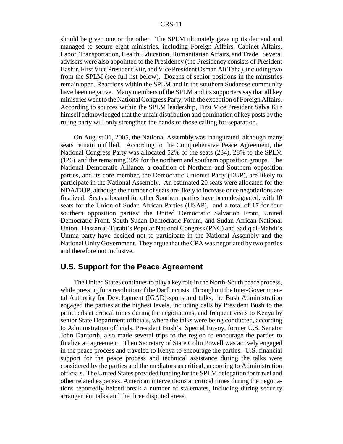should be given one or the other. The SPLM ultimately gave up its demand and managed to secure eight ministries, including Foreign Affairs, Cabinet Affairs, Labor, Transportation, Health, Education, Humanitarian Affairs, and Trade. Several advisers were also appointed to the Presidency (the Presidency consists of President Bashir, First Vice President Kiir, and Vice President Osman Ali Taha), including two from the SPLM (see full list below). Dozens of senior positions in the ministries remain open. Reactions within the SPLM and in the southern Sudanese community have been negative. Many members of the SPLM and its supporters say that all key ministries went to the National Congress Party, with the exception of Foreign Affairs. According to sources within the SPLM leadership, First Vice President Salva Kiir himself acknowledged that the unfair distribution and domination of key posts by the ruling party will only strengthen the hands of those calling for separation.

On August 31, 2005, the National Assembly was inaugurated, although many seats remain unfilled. According to the Comprehensive Peace Agreement, the National Congress Party was allocated 52% of the seats (234), 28% to the SPLM (126), and the remaining 20% for the northern and southern opposition groups. The National Democratic Alliance, a coalition of Northern and Southern opposition parties, and its core member, the Democratic Unionist Party (DUP), are likely to participate in the National Assembly. An estimated 20 seats were allocated for the NDA/DUP, although the number of seats are likely to increase once negotiations are finalized. Seats allocated for other Southern parties have been designated, with 10 seats for the Union of Sudan African Parties (USAP), and a total of 17 for four southern opposition parties: the United Democratic Salvation Front, United Democratic Front, South Sudan Democratic Forum, and Sudan African National Union. Hassan al-Turabi's Popular National Congress (PNC) and Sadiq al-Mahdi's Umma party have decided not to participate in the National Assembly and the National Unity Government. They argue that the CPA was negotiated by two parties and therefore not inclusive.

## **U.S. Support for the Peace Agreement**

The United States continues to play a key role in the North-South peace process, while pressing for a resolution of the Darfur crisis. Throughout the Inter-Governmental Authority for Development (IGAD)-sponsored talks, the Bush Administration engaged the parties at the highest levels, including calls by President Bush to the principals at critical times during the negotiations, and frequent visits to Kenya by senior State Department officials, where the talks were being conducted, according to Administration officials. President Bush's Special Envoy, former U.S. Senator John Danforth, also made several trips to the region to encourage the parties to finalize an agreement. Then Secretary of State Colin Powell was actively engaged in the peace process and traveled to Kenya to encourage the parties. U.S. financial support for the peace process and technical assistance during the talks were considered by the parties and the mediators as critical, according to Administration officials. The United States provided funding for the SPLM delegation for travel and other related expenses. American interventions at critical times during the negotiations reportedly helped break a number of stalemates, including during security arrangement talks and the three disputed areas.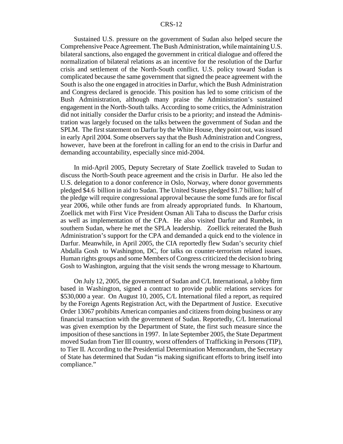Sustained U.S. pressure on the government of Sudan also helped secure the Comprehensive Peace Agreement. The Bush Administration, while maintaining U.S. bilateral sanctions, also engaged the government in critical dialogue and offered the normalization of bilateral relations as an incentive for the resolution of the Darfur crisis and settlement of the North-South conflict. U.S. policy toward Sudan is complicated because the same government that signed the peace agreement with the South is also the one engaged in atrocities in Darfur, which the Bush Administration and Congress declared is genocide. This position has led to some criticism of the Bush Administration, although many praise the Administration's sustained engagement in the North-South talks. According to some critics, the Administration did not initially consider the Darfur crisis to be a priority; and instead the Administration was largely focused on the talks between the government of Sudan and the SPLM. The first statement on Darfur by the White House, they point out, was issued in early April 2004. Some observers say that the Bush Administration and Congress, however, have been at the forefront in calling for an end to the crisis in Darfur and demanding accountability, especially since mid-2004.

In mid-April 2005, Deputy Secretary of State Zoellick traveled to Sudan to discuss the North-South peace agreement and the crisis in Darfur. He also led the U.S. delegation to a donor conference in Oslo, Norway, where donor governments pledged \$4.6 billion in aid to Sudan. The United States pledged \$1.7 billion; half of the pledge will require congressional approval because the some funds are for fiscal year 2006, while other funds are from already appropriated funds. In Khartoum, Zoellick met with First Vice President Osman Ali Taha to discuss the Darfur crisis as well as implementation of the CPA. He also visited Darfur and Rumbek, in southern Sudan, where he met the SPLA leadership. Zoellick reiterated the Bush Administration's support for the CPA and demanded a quick end to the violence in Darfur. Meanwhile, in April 2005, the CIA reportedly flew Sudan's security chief Abdalla Gosh to Washington, DC, for talks on counter-terrorism related issues. Human rights groups and some Members of Congress criticized the decision to bring Gosh to Washington, arguing that the visit sends the wrong message to Khartoum.

On July 12, 2005, the government of Sudan and C/L International, a lobby firm based in Washington, signed a contract to provide public relations services for \$530,000 a year. On August 10, 2005, C/L International filed a report, as required by the Foreign Agents Registration Act, with the Department of Justice. Executive Order 13067 prohibits American companies and citizens from doing business or any financial transaction with the government of Sudan. Reportedly, C/L International was given exemption by the Department of State, the first such measure since the imposition of these sanctions in 1997. In late September 2005, the State Department moved Sudan from Tier III country, worst offenders of Trafficking in Persons (TIP), to Tier II. According to the Presidential Determination Memorandum, the Secretary of State has determined that Sudan "is making significant efforts to bring itself into compliance."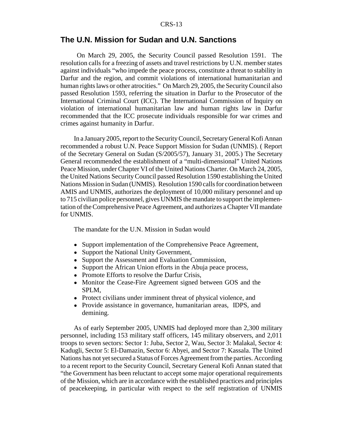#### **The U.N. Mission for Sudan and U.N. Sanctions**

 On March 29, 2005, the Security Council passed Resolution 1591. The resolution calls for a freezing of assets and travel restrictions by U.N. member states against individuals "who impede the peace process, constitute a threat to stability in Darfur and the region, and commit violations of international humanitarian and human rights laws or other atrocities." On March 29, 2005, the Security Council also passed Resolution 1593, referring the situation in Darfur to the Prosecutor of the International Criminal Court (ICC). The International Commission of Inquiry on violation of international humanitarian law and human rights law in Darfur recommended that the ICC prosecute individuals responsible for war crimes and crimes against humanity in Darfur.

In a January 2005, report to the Security Council, Secretary General Kofi Annan recommended a robust U.N. Peace Support Mission for Sudan (UNMIS). ( Report of the Secretary General on Sudan (S/2005/57), January 31, 2005.) The Secretary General recommended the establishment of a "multi-dimensional" United Nations Peace Mission, under Chapter VI of the United Nations Charter. On March 24, 2005, the United Nations Security Council passed Resolution 1590 establishing the United Nations Mission in Sudan (UNMIS). Resolution 1590 calls for coordination between AMIS and UNMIS, authorizes the deployment of 10,000 military personnel and up to 715 civilian police personnel, gives UNMIS the mandate to support the implementation of the Comprehensive Peace Agreement, and authorizes a Chapter VII mandate for UNMIS.

The mandate for the U.N. Mission in Sudan would

- Support implementation of the Comprehensive Peace Agreement,
- Support the National Unity Government,
- Support the Assessment and Evaluation Commission,
- Support the African Union efforts in the Abuja peace process,
- Promote Efforts to resolve the Darfur Crisis,
- Monitor the Cease-Fire Agreement signed between GOS and the SPLM,
- Protect civilians under imminent threat of physical violence, and
- ! Provide assistance in governance, humanitarian areas, IDPS, and demining.

As of early September 2005, UNMIS had deployed more than 2,300 military personnel, including 153 military staff officers, 145 military observers, and 2,011 troops to seven sectors: Sector 1: Juba, Sector 2, Wau, Sector 3: Malakal, Sector 4: Kadugli, Sector 5: El-Damazin, Sector 6: Abyei, and Sector 7: Kassala. The United Nations has not yet secured a Status of Forces Agreement from the parties. According to a recent report to the Security Council, Secretary General Kofi Annan stated that "the Government has been reluctant to accept some major operational requirements of the Mission, which are in accordance with the established practices and principles of peacekeeping, in particular with respect to the self registration of UNMIS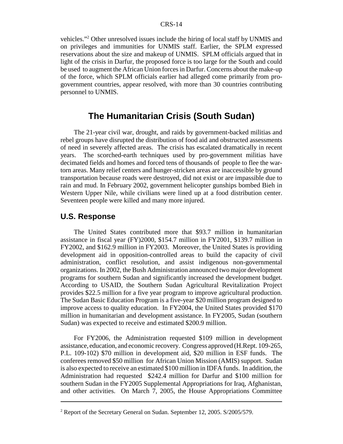vehicles."<sup>2</sup> Other unresolved issues include the hiring of local staff by UNMIS and on privileges and immunities for UNMIS staff. Earlier, the SPLM expressed reservations about the size and makeup of UNMIS. SPLM officials argued that in light of the crisis in Darfur, the proposed force is too large for the South and could be used to augment the African Union forces in Darfur. Concerns about the make-up of the force, which SPLM officials earlier had alleged come primarily from progovernment countries, appear resolved, with more than 30 countries contributing personnel to UNMIS.

## **The Humanitarian Crisis (South Sudan)**

The 21-year civil war, drought, and raids by government-backed militias and rebel groups have disrupted the distribution of food aid and obstructed assessments of need in severely affected areas. The crisis has escalated dramatically in recent years. The scorched-earth techniques used by pro-government militias have decimated fields and homes and forced tens of thousands of people to flee the wartorn areas. Many relief centers and hunger-stricken areas are inaccessible by ground transportation because roads were destroyed, did not exist or are impassible due to rain and mud. In February 2002, government helicopter gunships bombed Bieh in Western Upper Nile, while civilians were lined up at a food distribution center. Seventeen people were killed and many more injured.

#### **U.S. Response**

The United States contributed more that \$93.7 million in humanitarian assistance in fiscal year (FY)2000, \$154.7 million in FY2001, \$139.7 million in FY2002, and \$162.9 million in FY2003. Moreover, the United States is providing development aid in opposition-controlled areas to build the capacity of civil administration, conflict resolution, and assist indigenous non-governmental organizations. In 2002, the Bush Administration announced two major development programs for southern Sudan and significantly increased the development budget. According to USAID, the Southern Sudan Agricultural Revitalization Project provides \$22.5 million for a five year program to improve agricultural production. The Sudan Basic Education Program is a five-year \$20 million program designed to improve access to quality education. In FY2004, the United States provided \$170 million in humanitarian and development assistance. In FY2005, Sudan (southern Sudan) was expected to receive and estimated \$200.9 million.

For FY2006, the Administration requested \$109 million in development assistance, education, and economic recovery. Congress approved (H.Rept. 109-265, P.L. 109-102) \$70 million in development aid, \$20 million in ESF funds. The conferees removed \$50 million for African Union Mission (AMIS) support. Sudan is also expected to receive an estimated \$100 million in IDFA funds. In addition, the Administration had requested \$242.4 million for Darfur and \$100 million for southern Sudan in the FY2005 Supplemental Appropriations for Iraq, Afghanistan, and other activities. On March 7, 2005, the House Appropriations Committee

<sup>&</sup>lt;sup>2</sup> Report of the Secretary General on Sudan. September 12, 2005. S/2005/579.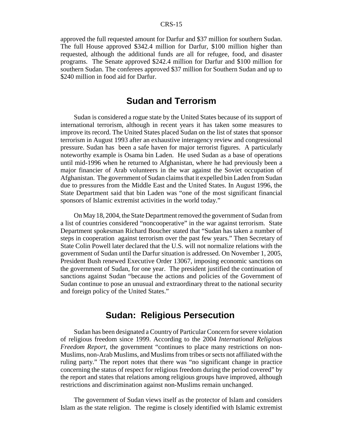approved the full requested amount for Darfur and \$37 million for southern Sudan. The full House approved \$342.4 million for Darfur, \$100 million higher than requested, although the additional funds are all for refugee, food, and disaster programs. The Senate approved \$242.4 million for Darfur and \$100 million for southern Sudan. The conferees approved \$37 million for Southern Sudan and up to \$240 million in food aid for Darfur.

## **Sudan and Terrorism**

Sudan is considered a rogue state by the United States because of its support of international terrorism, although in recent years it has taken some measures to improve its record. The United States placed Sudan on the list of states that sponsor terrorism in August 1993 after an exhaustive interagency review and congressional pressure. Sudan has been a safe haven for major terrorist figures. A particularly noteworthy example is Osama bin Laden. He used Sudan as a base of operations until mid-1996 when he returned to Afghanistan, where he had previously been a major financier of Arab volunteers in the war against the Soviet occupation of Afghanistan. The government of Sudan claims that it expelled bin Laden from Sudan due to pressures from the Middle East and the United States. In August 1996, the State Department said that bin Laden was "one of the most significant financial sponsors of Islamic extremist activities in the world today."

On May 18, 2004, the State Department removed the government of Sudan from a list of countries considered "noncooperative" in the war against terrorism. State Department spokesman Richard Boucher stated that "Sudan has taken a number of steps in cooperation against terrorism over the past few years." Then Secretary of State Colin Powell later declared that the U.S. will not normalize relations with the government of Sudan until the Darfur situation is addressed. On November 1, 2005, President Bush renewed Executive Order 13067, imposing economic sanctions on the government of Sudan, for one year. The president justified the continuation of sanctions against Sudan "because the actions and policies of the Government of Sudan continue to pose an unusual and extraordinary threat to the national security and foreign policy of the United States."

## **Sudan: Religious Persecution**

Sudan has been designated a Country of Particular Concern for severe violation of religious freedom since 1999. According to the 2004 *International Religious Freedom Report*, the government "continues to place many restrictions on non-Muslims, non-Arab Muslims, and Muslims from tribes or sects not affiliated with the ruling party." The report notes that there was "no significant change in practice concerning the status of respect for religious freedom during the period covered" by the report and states that relations among religious groups have improved, although restrictions and discrimination against non-Muslims remain unchanged.

The government of Sudan views itself as the protector of Islam and considers Islam as the state religion. The regime is closely identified with Islamic extremist